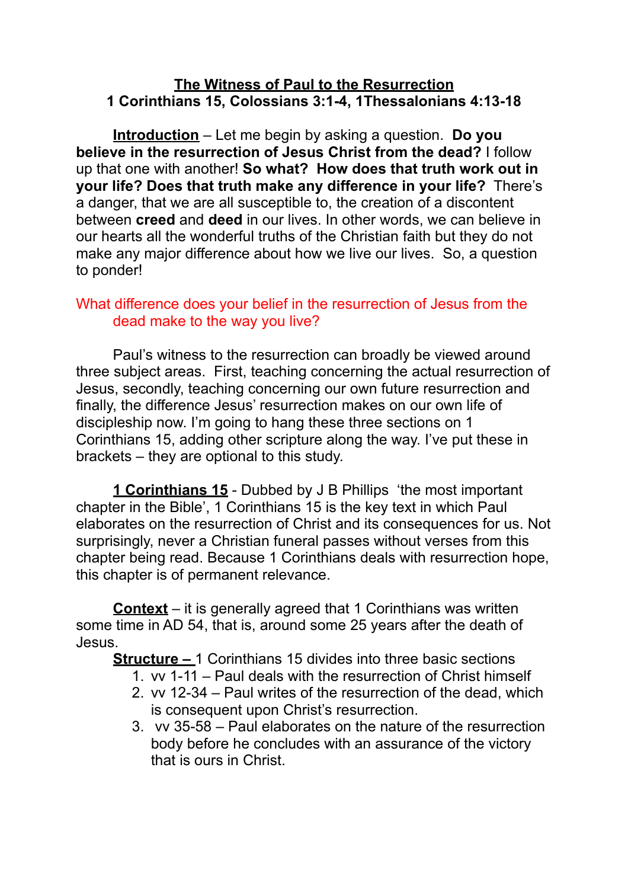#### **The Witness of Paul to the Resurrection 1 Corinthians 15, Colossians 3:1-4, 1Thessalonians 4:13-18**

**Introduction** – Let me begin by asking a question. **Do you believe in the resurrection of Jesus Christ from the dead?** I follow up that one with another! **So what? How does that truth work out in your life? Does that truth make any difference in your life?** There's a danger, that we are all susceptible to, the creation of a discontent between **creed** and **deed** in our lives. In other words, we can believe in our hearts all the wonderful truths of the Christian faith but they do not make any major difference about how we live our lives. So, a question to ponder!

### What difference does your belief in the resurrection of Jesus from the dead make to the way you live?

Paul's witness to the resurrection can broadly be viewed around three subject areas. First, teaching concerning the actual resurrection of Jesus, secondly, teaching concerning our own future resurrection and finally, the difference Jesus' resurrection makes on our own life of discipleship now. I'm going to hang these three sections on 1 Corinthians 15, adding other scripture along the way. I've put these in brackets – they are optional to this study.

**1 Corinthians 15** - Dubbed by J B Phillips 'the most important chapter in the Bible', 1 Corinthians 15 is the key text in which Paul elaborates on the resurrection of Christ and its consequences for us. Not surprisingly, never a Christian funeral passes without verses from this chapter being read. Because 1 Corinthians deals with resurrection hope, this chapter is of permanent relevance.

**Context** – it is generally agreed that 1 Corinthians was written some time in AD 54, that is, around some 25 years after the death of Jesus.

**Structure –** 1 Corinthians 15 divides into three basic sections

- 1. vv 1-11 Paul deals with the resurrection of Christ himself
- 2. vv 12-34 Paul writes of the resurrection of the dead, which is consequent upon Christ's resurrection.
- 3. vv 35-58 Paul elaborates on the nature of the resurrection body before he concludes with an assurance of the victory that is ours in Christ.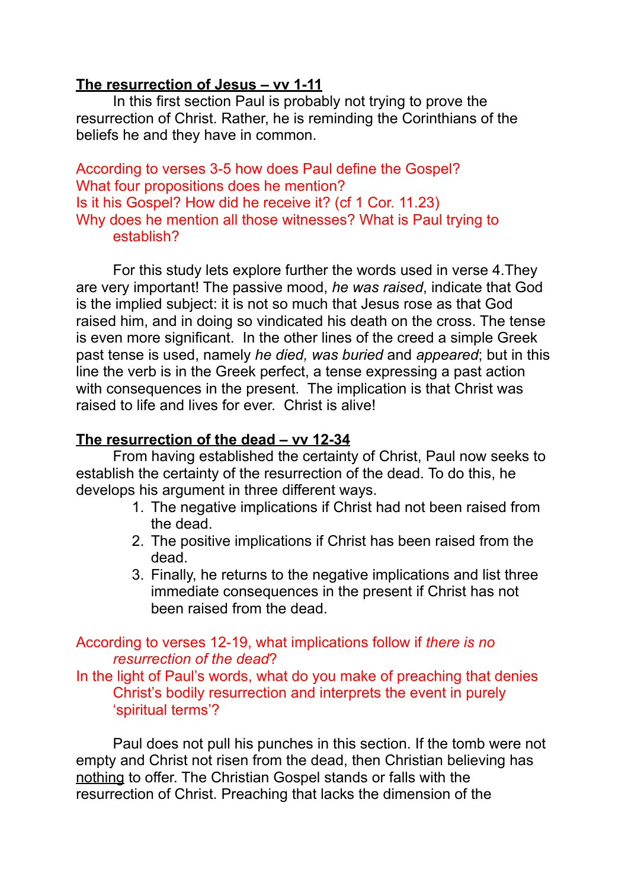## **The resurrection of Jesus – vv 1-11**

In this first section Paul is probably not trying to prove the resurrection of Christ. Rather, he is reminding the Corinthians of the beliefs he and they have in common.

According to verses 3-5 how does Paul define the Gospel? What four propositions does he mention? Is it his Gospel? How did he receive it? (cf 1 Cor. 11.23) Why does he mention all those witnesses? What is Paul trying to establish?

For this study lets explore further the words used in verse 4.They are very important! The passive mood, *he was raised*, indicate that God is the implied subject: it is not so much that Jesus rose as that God raised him, and in doing so vindicated his death on the cross. The tense is even more significant. In the other lines of the creed a simple Greek past tense is used, namely *he died, was buried* and *appeared*; but in this line the verb is in the Greek perfect, a tense expressing a past action with consequences in the present. The implication is that Christ was raised to life and lives for ever. Christ is alive!

# **The resurrection of the dead – vv 12-34**

From having established the certainty of Christ, Paul now seeks to establish the certainty of the resurrection of the dead. To do this, he develops his argument in three different ways.

- 1. The negative implications if Christ had not been raised from the dead.
- 2. The positive implications if Christ has been raised from the dead.
- 3. Finally, he returns to the negative implications and list three immediate consequences in the present if Christ has not been raised from the dead.

## According to verses 12-19, what implications follow if *there is no resurrection of the dead*?

In the light of Paul's words, what do you make of preaching that denies Christ's bodily resurrection and interprets the event in purely 'spiritual terms'?

Paul does not pull his punches in this section. If the tomb were not empty and Christ not risen from the dead, then Christian believing has nothing to offer. The Christian Gospel stands or falls with the resurrection of Christ. Preaching that lacks the dimension of the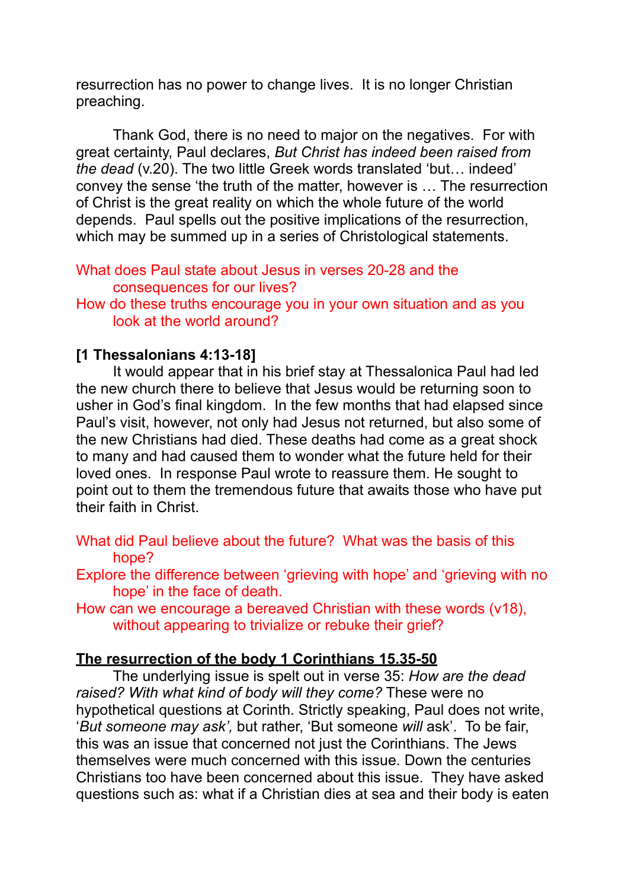resurrection has no power to change lives. It is no longer Christian preaching.

Thank God, there is no need to major on the negatives. For with great certainty, Paul declares, *But Christ has indeed been raised from the dead* (v.20). The two little Greek words translated 'but… indeed' convey the sense 'the truth of the matter, however is … The resurrection of Christ is the great reality on which the whole future of the world depends. Paul spells out the positive implications of the resurrection, which may be summed up in a series of Christological statements.

#### What does Paul state about Jesus in verses 20-28 and the consequences for our lives?

How do these truths encourage you in your own situation and as you look at the world around?

## **[1 Thessalonians 4:13-18]**

It would appear that in his brief stay at Thessalonica Paul had led the new church there to believe that Jesus would be returning soon to usher in God's final kingdom. In the few months that had elapsed since Paul's visit, however, not only had Jesus not returned, but also some of the new Christians had died. These deaths had come as a great shock to many and had caused them to wonder what the future held for their loved ones. In response Paul wrote to reassure them. He sought to point out to them the tremendous future that awaits those who have put their faith in Christ.

What did Paul believe about the future? What was the basis of this hope?

Explore the difference between 'grieving with hope' and 'grieving with no hope' in the face of death.

How can we encourage a bereaved Christian with these words (v18), without appearing to trivialize or rebuke their grief?

## **The resurrection of the body 1 Corinthians 15.35-50**

The underlying issue is spelt out in verse 35: *How are the dead raised? With what kind of body will they come?* These were no hypothetical questions at Corinth. Strictly speaking, Paul does not write, '*But someone may ask',* but rather, 'But someone *will* ask'. To be fair, this was an issue that concerned not just the Corinthians. The Jews themselves were much concerned with this issue. Down the centuries Christians too have been concerned about this issue. They have asked questions such as: what if a Christian dies at sea and their body is eaten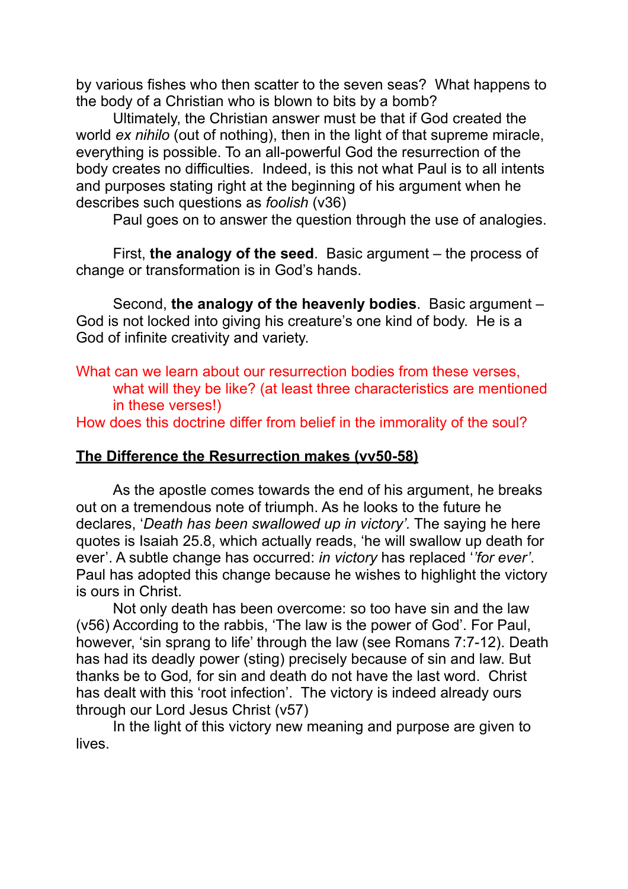by various fishes who then scatter to the seven seas? What happens to the body of a Christian who is blown to bits by a bomb?

Ultimately, the Christian answer must be that if God created the world *ex nihilo* (out of nothing), then in the light of that supreme miracle. everything is possible. To an all-powerful God the resurrection of the body creates no difficulties. Indeed, is this not what Paul is to all intents and purposes stating right at the beginning of his argument when he describes such questions as *foolish* (v36)

Paul goes on to answer the question through the use of analogies.

First, **the analogy of the seed**. Basic argument – the process of change or transformation is in God's hands.

Second, **the analogy of the heavenly bodies**. Basic argument – God is not locked into giving his creature's one kind of body. He is a God of infinite creativity and variety.

What can we learn about our resurrection bodies from these verses, what will they be like? (at least three characteristics are mentioned in these verses!)

How does this doctrine differ from belief in the immorality of the soul?

## **The Difference the Resurrection makes (vv50-58)**

As the apostle comes towards the end of his argument, he breaks out on a tremendous note of triumph. As he looks to the future he declares, '*Death has been swallowed up in victory'.* The saying he here quotes is Isaiah 25.8, which actually reads, 'he will swallow up death for ever'. A subtle change has occurred: *in victory* has replaced '*'for ever'*. Paul has adopted this change because he wishes to highlight the victory is ours in Christ.

Not only death has been overcome: so too have sin and the law (v56) According to the rabbis, 'The law is the power of God'. For Paul, however, 'sin sprang to life' through the law (see Romans 7:7-12). Death has had its deadly power (sting) precisely because of sin and law. But thanks be to God*,* for sin and death do not have the last word. Christ has dealt with this 'root infection'. The victory is indeed already ours through our Lord Jesus Christ (v57)

In the light of this victory new meaning and purpose are given to lives.